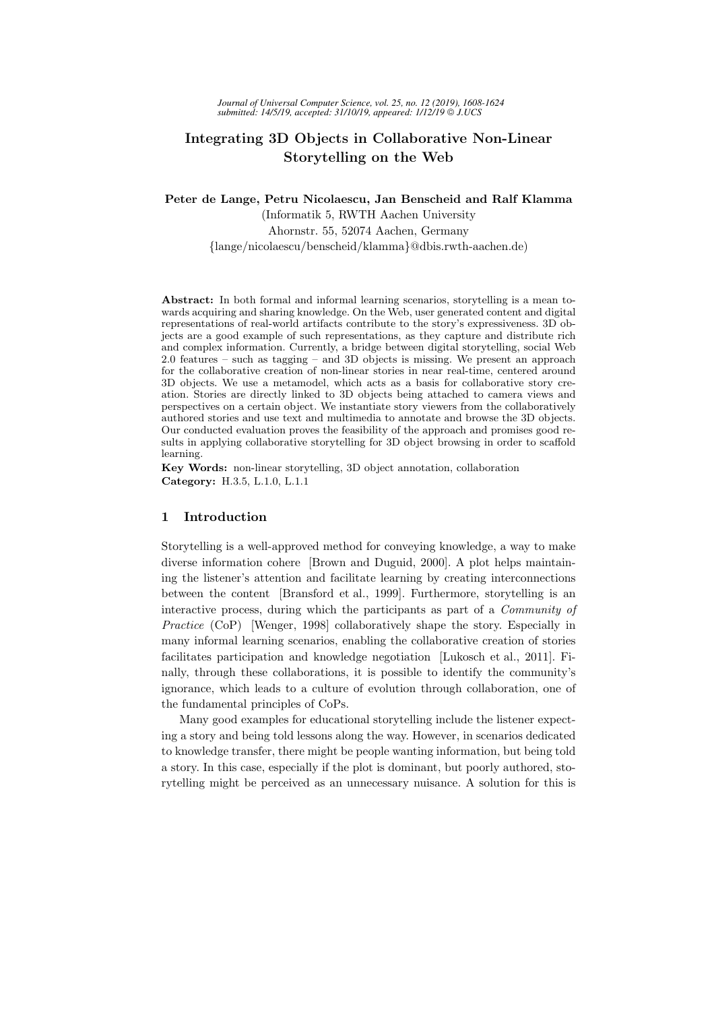# Integrating 3D Objects in Collaborative Non-Linear Storytelling on the Web

Peter de Lange, Petru Nicolaescu, Jan Benscheid and Ralf Klamma (Informatik 5, RWTH Aachen University Ahornstr. 55, 52074 Aachen, Germany {lange/nicolaescu/benscheid/klamma}@dbis.rwth-aachen.de)

Abstract: In both formal and informal learning scenarios, storytelling is a mean towards acquiring and sharing knowledge. On the Web, user generated content and digital representations of real-world artifacts contribute to the story's expressiveness. 3D objects are a good example of such representations, as they capture and distribute rich and complex information. Currently, a bridge between digital storytelling, social Web 2.0 features – such as tagging – and 3D objects is missing. We present an approach for the collaborative creation of non-linear stories in near real-time, centered around 3D objects. We use a metamodel, which acts as a basis for collaborative story creation. Stories are directly linked to 3D objects being attached to camera views and perspectives on a certain object. We instantiate story viewers from the collaboratively authored stories and use text and multimedia to annotate and browse the 3D objects. Our conducted evaluation proves the feasibility of the approach and promises good results in applying collaborative storytelling for 3D object browsing in order to scaffold learning.

Key Words: non-linear storytelling, 3D object annotation, collaboration Category: H.3.5, L.1.0, L.1.1

# 1 Introduction

Storytelling is a well-approved method for conveying knowledge, a way to make diverse information cohere [Brown and Duguid, 2000]. A plot helps maintaining the listener's attention and facilitate learning by creating interconnections between the content [Bransford et al., 1999]. Furthermore, storytelling is an interactive process, during which the participants as part of a Community of Practice (CoP) [Wenger, 1998] collaboratively shape the story. Especially in many informal learning scenarios, enabling the collaborative creation of stories facilitates participation and knowledge negotiation [Lukosch et al., 2011]. Finally, through these collaborations, it is possible to identify the community's ignorance, which leads to a culture of evolution through collaboration, one of the fundamental principles of CoPs.

Many good examples for educational storytelling include the listener expecting a story and being told lessons along the way. However, in scenarios dedicated to knowledge transfer, there might be people wanting information, but being told a story. In this case, especially if the plot is dominant, but poorly authored, storytelling might be perceived as an unnecessary nuisance. A solution for this is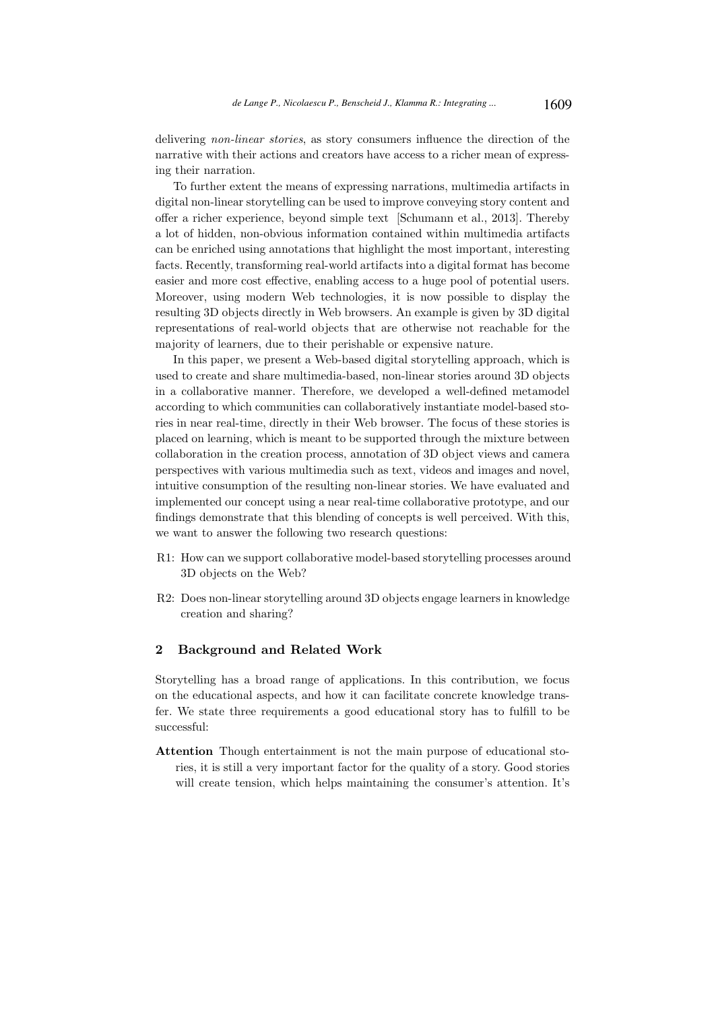delivering non-linear stories, as story consumers influence the direction of the narrative with their actions and creators have access to a richer mean of expressing their narration.

To further extent the means of expressing narrations, multimedia artifacts in digital non-linear storytelling can be used to improve conveying story content and offer a richer experience, beyond simple text [Schumann et al., 2013]. Thereby a lot of hidden, non-obvious information contained within multimedia artifacts can be enriched using annotations that highlight the most important, interesting facts. Recently, transforming real-world artifacts into a digital format has become easier and more cost effective, enabling access to a huge pool of potential users. Moreover, using modern Web technologies, it is now possible to display the resulting 3D objects directly in Web browsers. An example is given by 3D digital representations of real-world objects that are otherwise not reachable for the majority of learners, due to their perishable or expensive nature.

In this paper, we present a Web-based digital storytelling approach, which is used to create and share multimedia-based, non-linear stories around 3D objects in a collaborative manner. Therefore, we developed a well-defined metamodel according to which communities can collaboratively instantiate model-based stories in near real-time, directly in their Web browser. The focus of these stories is placed on learning, which is meant to be supported through the mixture between collaboration in the creation process, annotation of 3D object views and camera perspectives with various multimedia such as text, videos and images and novel, intuitive consumption of the resulting non-linear stories. We have evaluated and implemented our concept using a near real-time collaborative prototype, and our findings demonstrate that this blending of concepts is well perceived. With this, we want to answer the following two research questions:

- R1: How can we support collaborative model-based storytelling processes around 3D objects on the Web?
- R2: Does non-linear storytelling around 3D objects engage learners in knowledge creation and sharing?

#### 2 Background and Related Work

Storytelling has a broad range of applications. In this contribution, we focus on the educational aspects, and how it can facilitate concrete knowledge transfer. We state three requirements a good educational story has to fulfill to be successful:

Attention Though entertainment is not the main purpose of educational stories, it is still a very important factor for the quality of a story. Good stories will create tension, which helps maintaining the consumer's attention. It's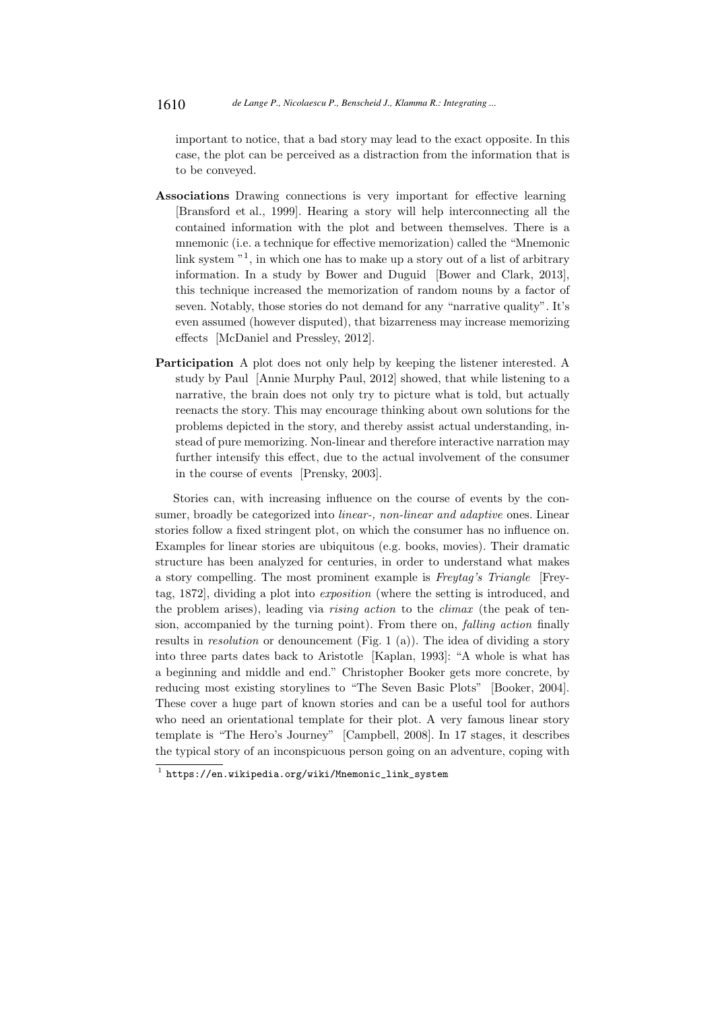important to notice, that a bad story may lead to the exact opposite. In this case, the plot can be perceived as a distraction from the information that is to be conveyed.

- Associations Drawing connections is very important for effective learning [Bransford et al., 1999]. Hearing a story will help interconnecting all the contained information with the plot and between themselves. There is a mnemonic (i.e. a technique for effective memorization) called the "Mnemonic link system "<sup>1</sup> , in which one has to make up a story out of a list of arbitrary information. In a study by Bower and Duguid [Bower and Clark, 2013], this technique increased the memorization of random nouns by a factor of seven. Notably, those stories do not demand for any "narrative quality". It's even assumed (however disputed), that bizarreness may increase memorizing effects [McDaniel and Pressley, 2012].
- Participation A plot does not only help by keeping the listener interested. A study by Paul [Annie Murphy Paul, 2012] showed, that while listening to a narrative, the brain does not only try to picture what is told, but actually reenacts the story. This may encourage thinking about own solutions for the problems depicted in the story, and thereby assist actual understanding, instead of pure memorizing. Non-linear and therefore interactive narration may further intensify this effect, due to the actual involvement of the consumer in the course of events [Prensky, 2003].

Stories can, with increasing influence on the course of events by the consumer, broadly be categorized into *linear-*, non-linear and adaptive ones. Linear stories follow a fixed stringent plot, on which the consumer has no influence on. Examples for linear stories are ubiquitous (e.g. books, movies). Their dramatic structure has been analyzed for centuries, in order to understand what makes a story compelling. The most prominent example is Freytag's Triangle [Freytag, 1872], dividing a plot into exposition (where the setting is introduced, and the problem arises), leading via rising action to the climax (the peak of tension, accompanied by the turning point). From there on, falling action finally results in resolution or denouncement (Fig. 1 (a)). The idea of dividing a story into three parts dates back to Aristotle [Kaplan, 1993]: "A whole is what has a beginning and middle and end." Christopher Booker gets more concrete, by reducing most existing storylines to "The Seven Basic Plots" [Booker, 2004]. These cover a huge part of known stories and can be a useful tool for authors who need an orientational template for their plot. A very famous linear story template is "The Hero's Journey" [Campbell, 2008]. In 17 stages, it describes the typical story of an inconspicuous person going on an adventure, coping with

 $^{\rm 1}$  https://en.wikipedia.org/wiki/Mnemonic\_link\_system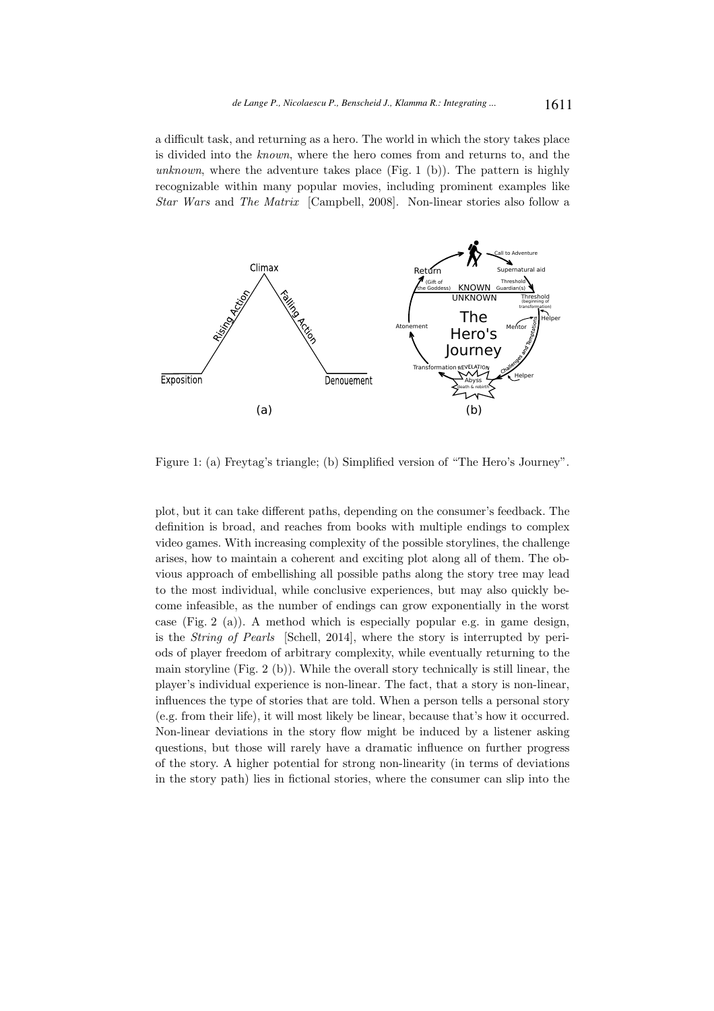a difficult task, and returning as a hero. The world in which the story takes place is divided into the known, where the hero comes from and returns to, and the unknown, where the adventure takes place (Fig. 1 (b)). The pattern is highly recognizable within many popular movies, including prominent examples like Star Wars and The Matrix [Campbell, 2008]. Non-linear stories also follow a



Figure 1: (a) Freytag's triangle; (b) Simplified version of "The Hero's Journey".

plot, but it can take different paths, depending on the consumer's feedback. The definition is broad, and reaches from books with multiple endings to complex video games. With increasing complexity of the possible storylines, the challenge arises, how to maintain a coherent and exciting plot along all of them. The obvious approach of embellishing all possible paths along the story tree may lead to the most individual, while conclusive experiences, but may also quickly become infeasible, as the number of endings can grow exponentially in the worst case (Fig. 2 (a)). A method which is especially popular e.g. in game design, is the String of Pearls [Schell, 2014], where the story is interrupted by periods of player freedom of arbitrary complexity, while eventually returning to the main storyline (Fig. 2 (b)). While the overall story technically is still linear, the player's individual experience is non-linear. The fact, that a story is non-linear, influences the type of stories that are told. When a person tells a personal story (e.g. from their life), it will most likely be linear, because that's how it occurred. Non-linear deviations in the story flow might be induced by a listener asking questions, but those will rarely have a dramatic influence on further progress of the story. A higher potential for strong non-linearity (in terms of deviations in the story path) lies in fictional stories, where the consumer can slip into the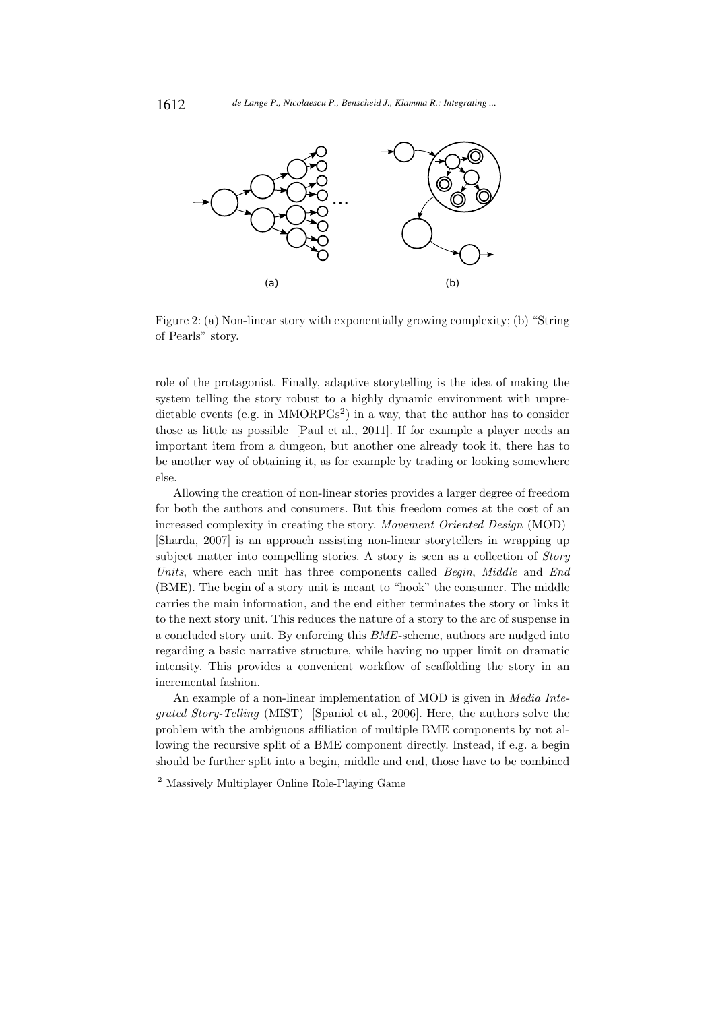

Figure 2: (a) Non-linear story with exponentially growing complexity; (b) "String of Pearls" story.

role of the protagonist. Finally, adaptive storytelling is the idea of making the system telling the story robust to a highly dynamic environment with unpredictable events (e.g. in  $MMDRPGs<sup>2</sup>$ ) in a way, that the author has to consider those as little as possible [Paul et al., 2011]. If for example a player needs an important item from a dungeon, but another one already took it, there has to be another way of obtaining it, as for example by trading or looking somewhere else.

Allowing the creation of non-linear stories provides a larger degree of freedom for both the authors and consumers. But this freedom comes at the cost of an increased complexity in creating the story. Movement Oriented Design (MOD) [Sharda, 2007] is an approach assisting non-linear storytellers in wrapping up subject matter into compelling stories. A story is seen as a collection of *Story* Units, where each unit has three components called Begin, Middle and End (BME). The begin of a story unit is meant to "hook" the consumer. The middle carries the main information, and the end either terminates the story or links it to the next story unit. This reduces the nature of a story to the arc of suspense in a concluded story unit. By enforcing this BME-scheme, authors are nudged into regarding a basic narrative structure, while having no upper limit on dramatic intensity. This provides a convenient workflow of scaffolding the story in an incremental fashion.

An example of a non-linear implementation of MOD is given in Media Integrated Story-Telling (MIST) [Spaniol et al., 2006]. Here, the authors solve the problem with the ambiguous affiliation of multiple BME components by not allowing the recursive split of a BME component directly. Instead, if e.g. a begin should be further split into a begin, middle and end, those have to be combined

<sup>2</sup> Massively Multiplayer Online Role-Playing Game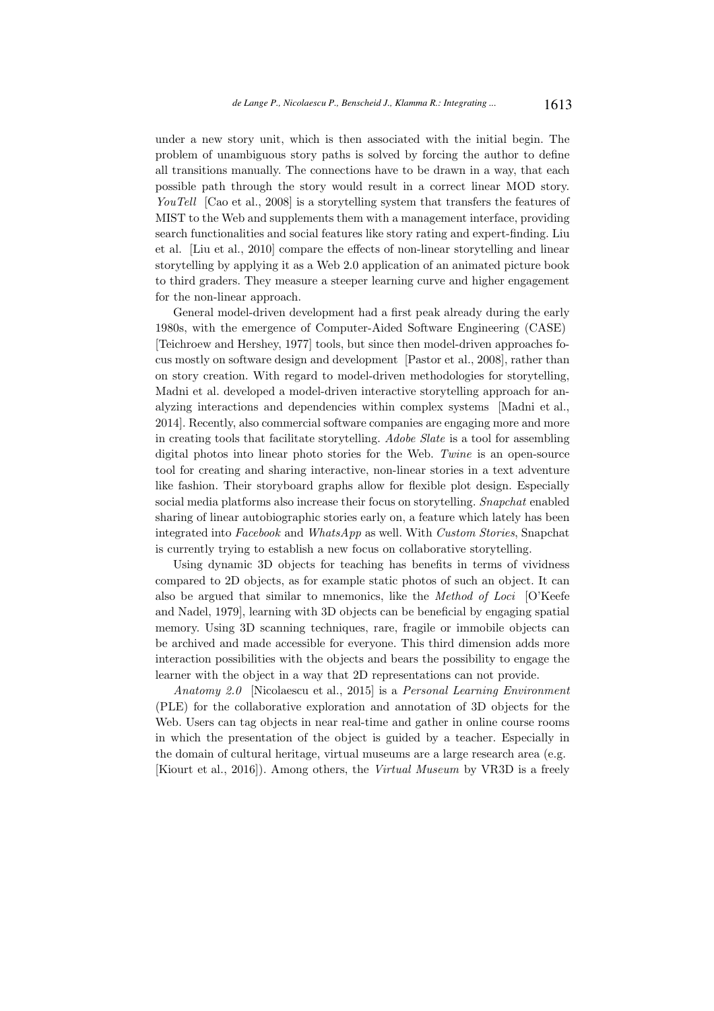under a new story unit, which is then associated with the initial begin. The problem of unambiguous story paths is solved by forcing the author to define all transitions manually. The connections have to be drawn in a way, that each possible path through the story would result in a correct linear MOD story. YouTell [Cao et al., 2008] is a storytelling system that transfers the features of MIST to the Web and supplements them with a management interface, providing search functionalities and social features like story rating and expert-finding. Liu et al. [Liu et al., 2010] compare the effects of non-linear storytelling and linear storytelling by applying it as a Web 2.0 application of an animated picture book to third graders. They measure a steeper learning curve and higher engagement for the non-linear approach.

General model-driven development had a first peak already during the early 1980s, with the emergence of Computer-Aided Software Engineering (CASE) [Teichroew and Hershey, 1977] tools, but since then model-driven approaches focus mostly on software design and development [Pastor et al., 2008], rather than on story creation. With regard to model-driven methodologies for storytelling, Madni et al. developed a model-driven interactive storytelling approach for analyzing interactions and dependencies within complex systems [Madni et al., 2014]. Recently, also commercial software companies are engaging more and more in creating tools that facilitate storytelling. Adobe Slate is a tool for assembling digital photos into linear photo stories for the Web. Twine is an open-source tool for creating and sharing interactive, non-linear stories in a text adventure like fashion. Their storyboard graphs allow for flexible plot design. Especially social media platforms also increase their focus on storytelling. Snapchat enabled sharing of linear autobiographic stories early on, a feature which lately has been integrated into Facebook and WhatsApp as well. With Custom Stories, Snapchat is currently trying to establish a new focus on collaborative storytelling.

Using dynamic 3D objects for teaching has benefits in terms of vividness compared to 2D objects, as for example static photos of such an object. It can also be argued that similar to mnemonics, like the Method of Loci [O'Keefe and Nadel, 1979], learning with 3D objects can be beneficial by engaging spatial memory. Using 3D scanning techniques, rare, fragile or immobile objects can be archived and made accessible for everyone. This third dimension adds more interaction possibilities with the objects and bears the possibility to engage the learner with the object in a way that 2D representations can not provide.

Anatomy 2.0 [Nicolaescu et al., 2015] is a Personal Learning Environment (PLE) for the collaborative exploration and annotation of 3D objects for the Web. Users can tag objects in near real-time and gather in online course rooms in which the presentation of the object is guided by a teacher. Especially in the domain of cultural heritage, virtual museums are a large research area (e.g. [Kiourt et al., 2016]). Among others, the Virtual Museum by VR3D is a freely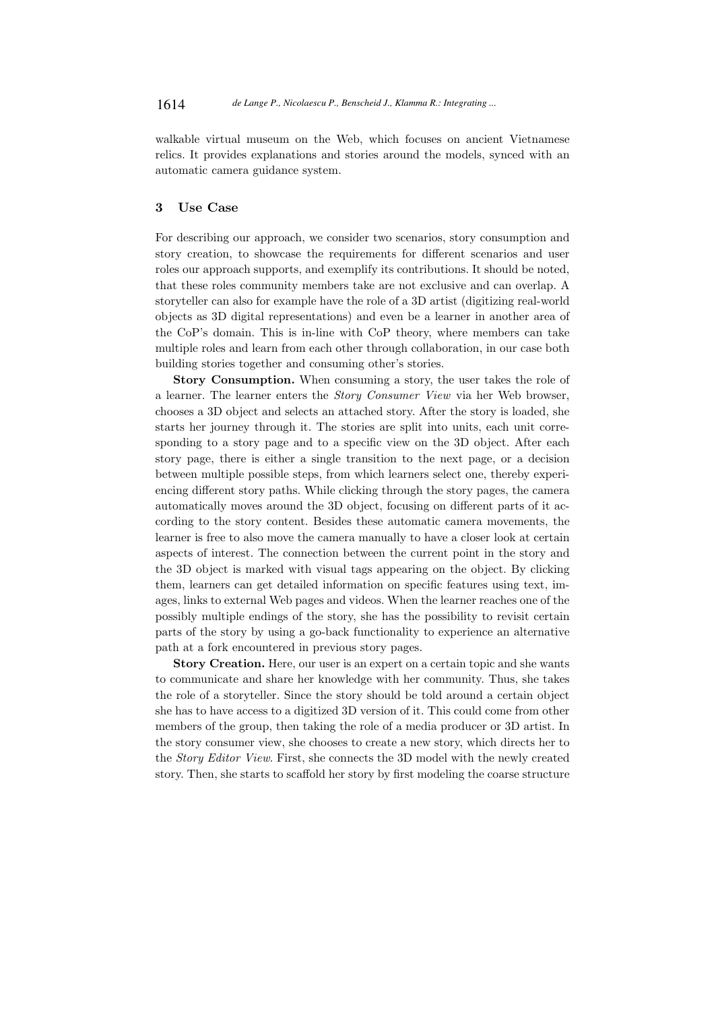walkable virtual museum on the Web, which focuses on ancient Vietnamese relics. It provides explanations and stories around the models, synced with an automatic camera guidance system.

# 3 Use Case

For describing our approach, we consider two scenarios, story consumption and story creation, to showcase the requirements for different scenarios and user roles our approach supports, and exemplify its contributions. It should be noted, that these roles community members take are not exclusive and can overlap. A storyteller can also for example have the role of a 3D artist (digitizing real-world objects as 3D digital representations) and even be a learner in another area of the CoP's domain. This is in-line with CoP theory, where members can take multiple roles and learn from each other through collaboration, in our case both building stories together and consuming other's stories.

Story Consumption. When consuming a story, the user takes the role of a learner. The learner enters the Story Consumer View via her Web browser, chooses a 3D object and selects an attached story. After the story is loaded, she starts her journey through it. The stories are split into units, each unit corresponding to a story page and to a specific view on the 3D object. After each story page, there is either a single transition to the next page, or a decision between multiple possible steps, from which learners select one, thereby experiencing different story paths. While clicking through the story pages, the camera automatically moves around the 3D object, focusing on different parts of it according to the story content. Besides these automatic camera movements, the learner is free to also move the camera manually to have a closer look at certain aspects of interest. The connection between the current point in the story and the 3D object is marked with visual tags appearing on the object. By clicking them, learners can get detailed information on specific features using text, images, links to external Web pages and videos. When the learner reaches one of the possibly multiple endings of the story, she has the possibility to revisit certain parts of the story by using a go-back functionality to experience an alternative path at a fork encountered in previous story pages.

Story Creation. Here, our user is an expert on a certain topic and she wants to communicate and share her knowledge with her community. Thus, she takes the role of a storyteller. Since the story should be told around a certain object she has to have access to a digitized 3D version of it. This could come from other members of the group, then taking the role of a media producer or 3D artist. In the story consumer view, she chooses to create a new story, which directs her to the Story Editor View. First, she connects the 3D model with the newly created story. Then, she starts to scaffold her story by first modeling the coarse structure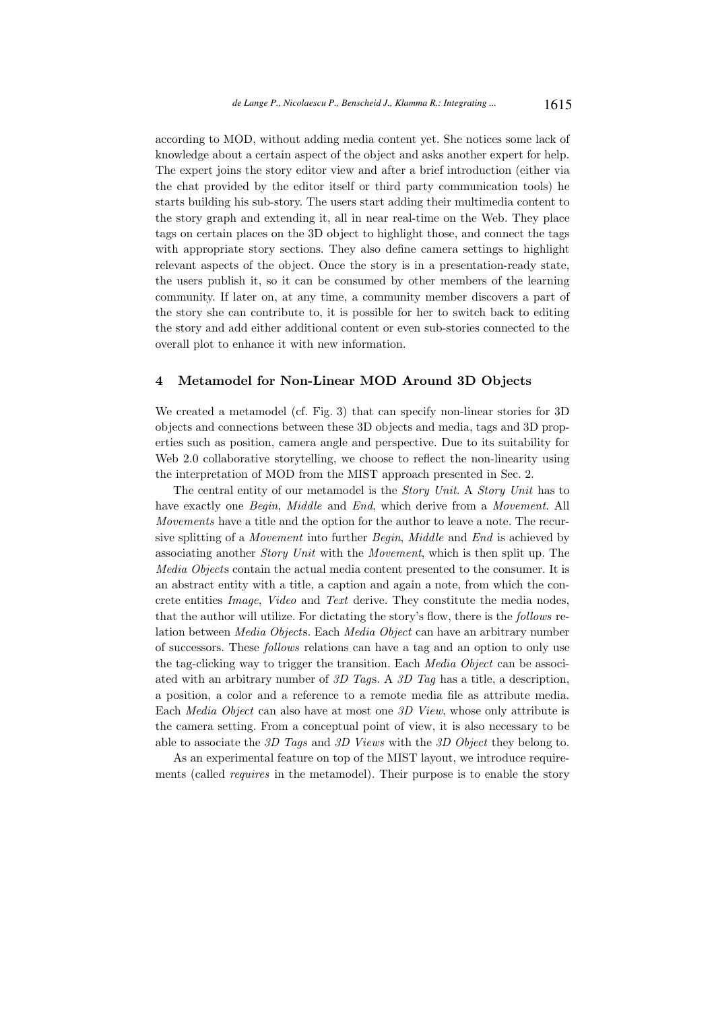according to MOD, without adding media content yet. She notices some lack of knowledge about a certain aspect of the object and asks another expert for help. The expert joins the story editor view and after a brief introduction (either via the chat provided by the editor itself or third party communication tools) he starts building his sub-story. The users start adding their multimedia content to the story graph and extending it, all in near real-time on the Web. They place tags on certain places on the 3D object to highlight those, and connect the tags with appropriate story sections. They also define camera settings to highlight relevant aspects of the object. Once the story is in a presentation-ready state, the users publish it, so it can be consumed by other members of the learning community. If later on, at any time, a community member discovers a part of the story she can contribute to, it is possible for her to switch back to editing the story and add either additional content or even sub-stories connected to the overall plot to enhance it with new information.

## 4 Metamodel for Non-Linear MOD Around 3D Objects

We created a metamodel (cf. Fig. 3) that can specify non-linear stories for 3D objects and connections between these 3D objects and media, tags and 3D properties such as position, camera angle and perspective. Due to its suitability for Web 2.0 collaborative storytelling, we choose to reflect the non-linearity using the interpretation of MOD from the MIST approach presented in Sec. 2.

The central entity of our metamodel is the Story Unit. A Story Unit has to have exactly one *Begin, Middle* and *End*, which derive from a *Movement*. All Movements have a title and the option for the author to leave a note. The recursive splitting of a Movement into further Begin, Middle and End is achieved by associating another Story Unit with the Movement, which is then split up. The Media Objects contain the actual media content presented to the consumer. It is an abstract entity with a title, a caption and again a note, from which the concrete entities Image, Video and Text derive. They constitute the media nodes, that the author will utilize. For dictating the story's flow, there is the follows relation between Media Objects. Each Media Object can have an arbitrary number of successors. These follows relations can have a tag and an option to only use the tag-clicking way to trigger the transition. Each Media Object can be associated with an arbitrary number of 3D Tags. A 3D Tag has a title, a description, a position, a color and a reference to a remote media file as attribute media. Each Media Object can also have at most one 3D View, whose only attribute is the camera setting. From a conceptual point of view, it is also necessary to be able to associate the 3D Tags and 3D Views with the 3D Object they belong to.

As an experimental feature on top of the MIST layout, we introduce requirements (called *requires* in the metamodel). Their purpose is to enable the story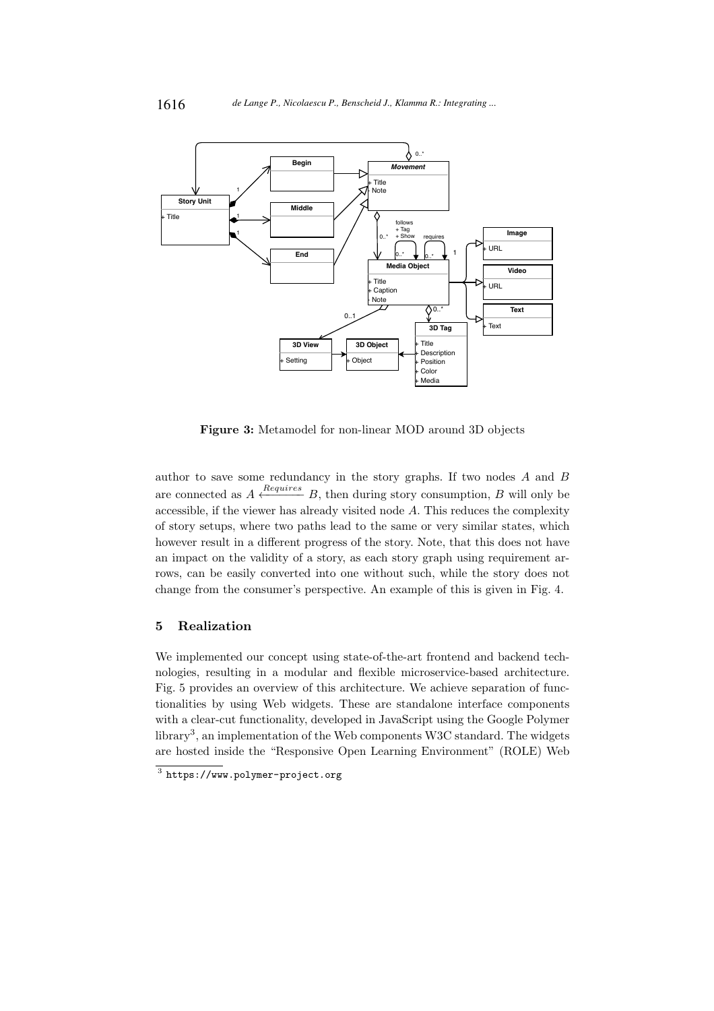

Figure 3: Metamodel for non-linear MOD around 3D objects

author to save some redundancy in the story graphs. If two nodes A and B are connected as  $A \xleftarrow{Requestres} B$ , then during story consumption, B will only be accessible, if the viewer has already visited node A. This reduces the complexity of story setups, where two paths lead to the same or very similar states, which however result in a different progress of the story. Note, that this does not have an impact on the validity of a story, as each story graph using requirement arrows, can be easily converted into one without such, while the story does not change from the consumer's perspective. An example of this is given in Fig. 4.

# 5 Realization

We implemented our concept using state-of-the-art frontend and backend technologies, resulting in a modular and flexible microservice-based architecture. Fig. 5 provides an overview of this architecture. We achieve separation of functionalities by using Web widgets. These are standalone interface components with a clear-cut functionality, developed in JavaScript using the Google Polymer library<sup>3</sup>, an implementation of the Web components W3C standard. The widgets are hosted inside the "Responsive Open Learning Environment" (ROLE) Web

 $^3$  https://www.polymer-project.org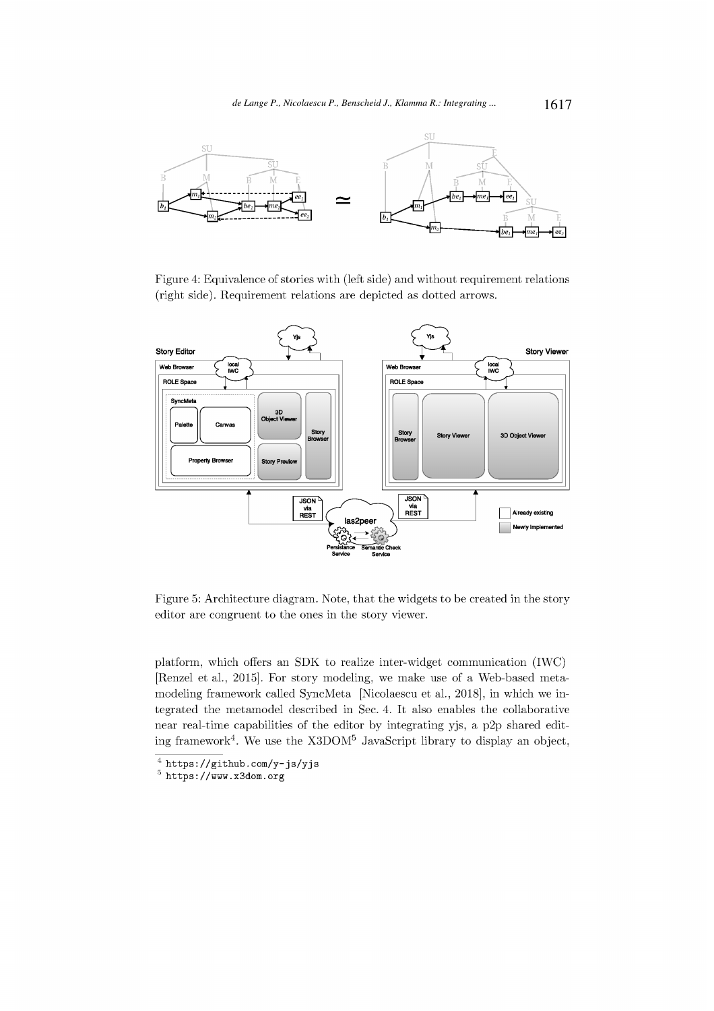

Figure 4: Equivalence of stories with (left side) and without requirement relations (right side). Requirement relations are depicted as dotted arrows.



Figure 5: Architecture diagram. Note, that the widgets to be created in the story editor are congruent to the ones in the story viewer.

platform, which offers an SDK to realize inter-widget communication (IWC) [Renzel et al., 2015]. For story modeling, we make use of a Web-based metamodeling framework called SyncMeta [Nicolaescu et al., 2018], in which we integrated the metamodel described in Sec. 4. It also enables the collaborative near real-time capabilities of the editor by integrating yjs, a p2p shared editing framework<sup>4</sup>. We use the X3DOM<sup>5</sup> JavaScript library to display an object,

 $\frac{4 \text{ https://github.com/y-js/yjs}}{5 \text{ https://www.x3dom.org}}$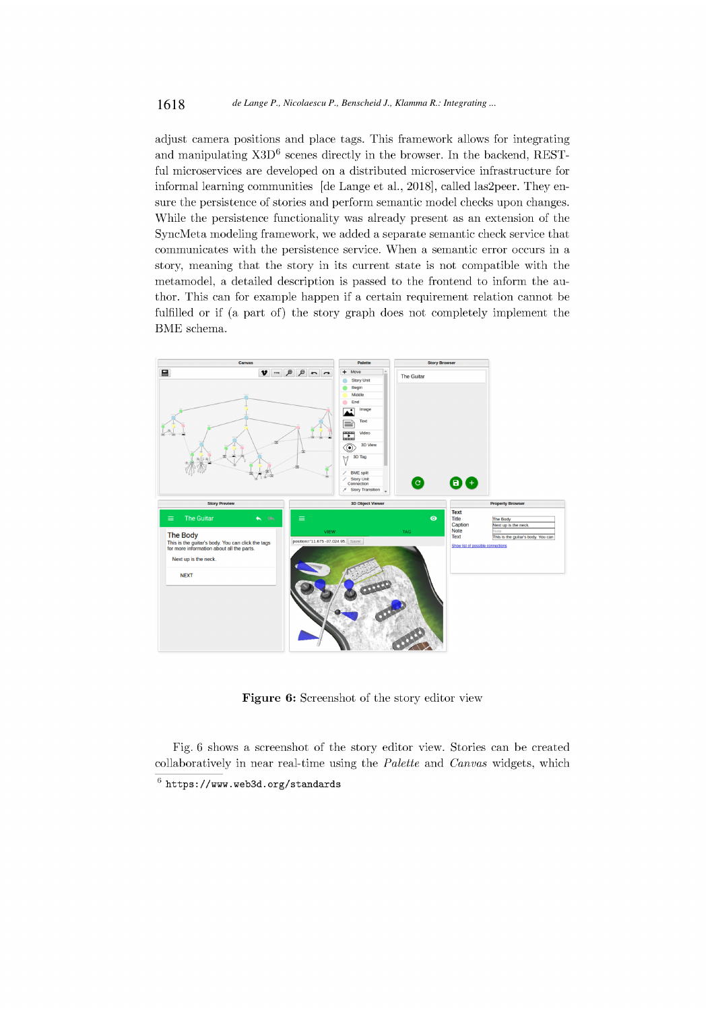adjust camera positions and place tags. This framework allows for integrating and manipulating  $X3D^6$  scenes directly in the browser. In the backend, RESTful microservices are developed on a distributed microservice infrastructure for informal learning communities [de Lange et al., 2018], called las2peer. They ensure the persistence of stories and perform semantic model checks upon changes. While the persistence functionality was already present as an extension of the SyncMeta modeling framework, we added a separate semantic check service that communicates with the persistence service. When a semantic error occurs in a story, meaning that the story in its current state is not compatible with the metamodel, a detailed description is passed to the frontend to inform the author. This can for example happen if a certain requirement relation cannot be fulfilled or if (a part of) the story graph does not completely implement the  $\textsc{BME}$  schema.



Figure 6: Screenshot of the story editor view

Fig. 6 shows a screenshot of the story editor view. Stories can be created collaboratively in near real-time using the Palette and Canvas widgets, which

 $6$  https://www.web3d.org/standards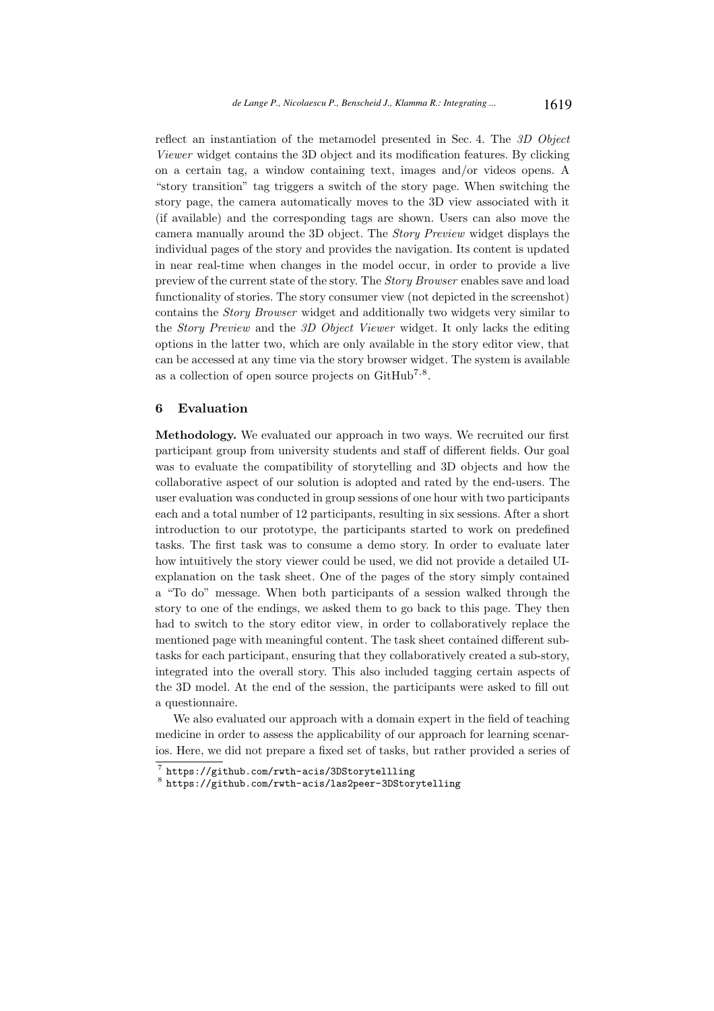reflect an instantiation of the metamodel presented in Sec. 4. The 3D Object Viewer widget contains the 3D object and its modification features. By clicking on a certain tag, a window containing text, images and/or videos opens. A "story transition" tag triggers a switch of the story page. When switching the story page, the camera automatically moves to the 3D view associated with it (if available) and the corresponding tags are shown. Users can also move the camera manually around the 3D object. The Story Preview widget displays the individual pages of the story and provides the navigation. Its content is updated in near real-time when changes in the model occur, in order to provide a live preview of the current state of the story. The Story Browser enables save and load functionality of stories. The story consumer view (not depicted in the screenshot) contains the Story Browser widget and additionally two widgets very similar to the Story Preview and the 3D Object Viewer widget. It only lacks the editing options in the latter two, which are only available in the story editor view, that can be accessed at any time via the story browser widget. The system is available as a collection of open source projects on GitHub<sup>7,8</sup>.

#### 6 Evaluation

Methodology. We evaluated our approach in two ways. We recruited our first participant group from university students and staff of different fields. Our goal was to evaluate the compatibility of storytelling and 3D objects and how the collaborative aspect of our solution is adopted and rated by the end-users. The user evaluation was conducted in group sessions of one hour with two participants each and a total number of 12 participants, resulting in six sessions. After a short introduction to our prototype, the participants started to work on predefined tasks. The first task was to consume a demo story. In order to evaluate later how intuitively the story viewer could be used, we did not provide a detailed UIexplanation on the task sheet. One of the pages of the story simply contained a "To do" message. When both participants of a session walked through the story to one of the endings, we asked them to go back to this page. They then had to switch to the story editor view, in order to collaboratively replace the mentioned page with meaningful content. The task sheet contained different subtasks for each participant, ensuring that they collaboratively created a sub-story, integrated into the overall story. This also included tagging certain aspects of the 3D model. At the end of the session, the participants were asked to fill out a questionnaire.

We also evaluated our approach with a domain expert in the field of teaching medicine in order to assess the applicability of our approach for learning scenarios. Here, we did not prepare a fixed set of tasks, but rather provided a series of

<sup>7</sup> https://github.com/rwth-acis/3DStorytellling

<sup>8</sup> https://github.com/rwth-acis/las2peer-3DStorytelling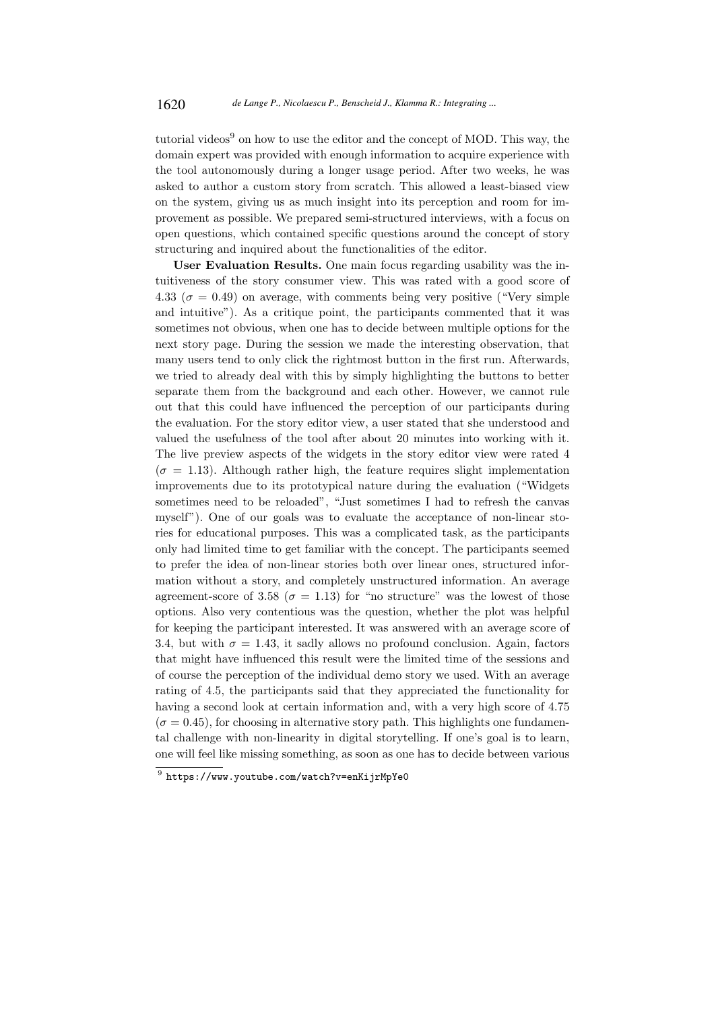tutorial videos<sup>9</sup> on how to use the editor and the concept of MOD. This way, the domain expert was provided with enough information to acquire experience with the tool autonomously during a longer usage period. After two weeks, he was asked to author a custom story from scratch. This allowed a least-biased view on the system, giving us as much insight into its perception and room for improvement as possible. We prepared semi-structured interviews, with a focus on open questions, which contained specific questions around the concept of story structuring and inquired about the functionalities of the editor.

User Evaluation Results. One main focus regarding usability was the intuitiveness of the story consumer view. This was rated with a good score of 4.33 ( $\sigma = 0.49$ ) on average, with comments being very positive ("Very simple and intuitive"). As a critique point, the participants commented that it was sometimes not obvious, when one has to decide between multiple options for the next story page. During the session we made the interesting observation, that many users tend to only click the rightmost button in the first run. Afterwards, we tried to already deal with this by simply highlighting the buttons to better separate them from the background and each other. However, we cannot rule out that this could have influenced the perception of our participants during the evaluation. For the story editor view, a user stated that she understood and valued the usefulness of the tool after about 20 minutes into working with it. The live preview aspects of the widgets in the story editor view were rated 4  $(\sigma = 1.13)$ . Although rather high, the feature requires slight implementation improvements due to its prototypical nature during the evaluation ("Widgets sometimes need to be reloaded", "Just sometimes I had to refresh the canvas myself"). One of our goals was to evaluate the acceptance of non-linear stories for educational purposes. This was a complicated task, as the participants only had limited time to get familiar with the concept. The participants seemed to prefer the idea of non-linear stories both over linear ones, structured information without a story, and completely unstructured information. An average agreement-score of 3.58 ( $\sigma = 1.13$ ) for "no structure" was the lowest of those options. Also very contentious was the question, whether the plot was helpful for keeping the participant interested. It was answered with an average score of 3.4, but with  $\sigma = 1.43$ , it sadly allows no profound conclusion. Again, factors that might have influenced this result were the limited time of the sessions and of course the perception of the individual demo story we used. With an average rating of 4.5, the participants said that they appreciated the functionality for having a second look at certain information and, with a very high score of 4.75  $(\sigma = 0.45)$ , for choosing in alternative story path. This highlights one fundamental challenge with non-linearity in digital storytelling. If one's goal is to learn, one will feel like missing something, as soon as one has to decide between various

 $^9$  https://www.youtube.com/watch?v=enKijrMpYe0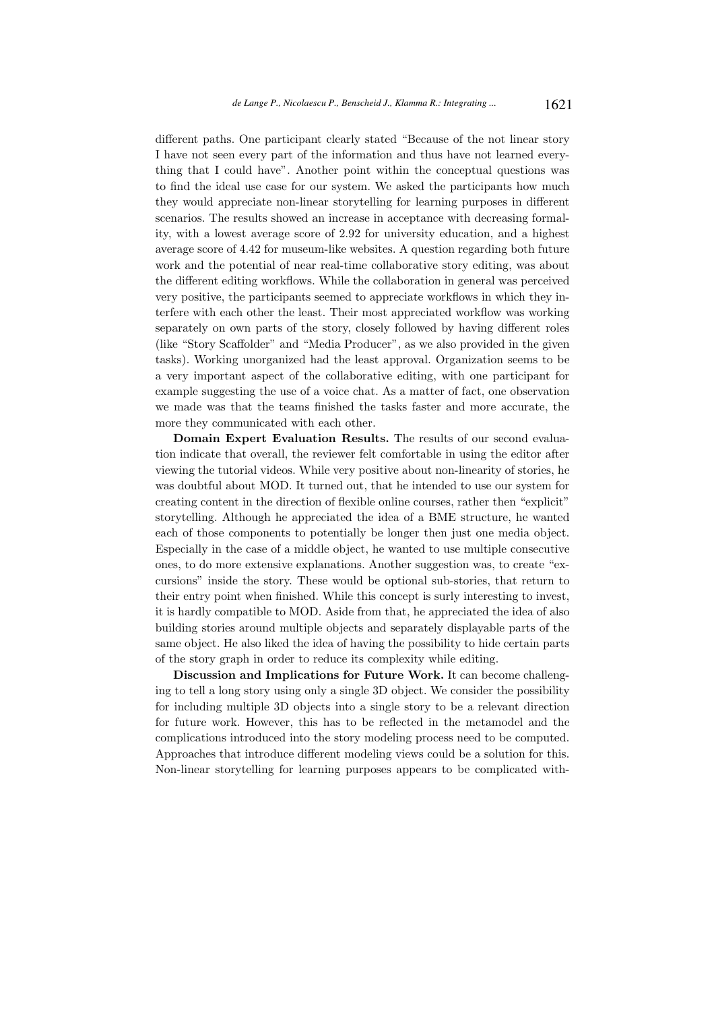different paths. One participant clearly stated "Because of the not linear story I have not seen every part of the information and thus have not learned everything that I could have". Another point within the conceptual questions was to find the ideal use case for our system. We asked the participants how much they would appreciate non-linear storytelling for learning purposes in different scenarios. The results showed an increase in acceptance with decreasing formality, with a lowest average score of 2.92 for university education, and a highest average score of 4.42 for museum-like websites. A question regarding both future work and the potential of near real-time collaborative story editing, was about the different editing workflows. While the collaboration in general was perceived very positive, the participants seemed to appreciate workflows in which they interfere with each other the least. Their most appreciated workflow was working separately on own parts of the story, closely followed by having different roles (like "Story Scaffolder" and "Media Producer", as we also provided in the given tasks). Working unorganized had the least approval. Organization seems to be a very important aspect of the collaborative editing, with one participant for example suggesting the use of a voice chat. As a matter of fact, one observation we made was that the teams finished the tasks faster and more accurate, the more they communicated with each other.

Domain Expert Evaluation Results. The results of our second evaluation indicate that overall, the reviewer felt comfortable in using the editor after viewing the tutorial videos. While very positive about non-linearity of stories, he was doubtful about MOD. It turned out, that he intended to use our system for creating content in the direction of flexible online courses, rather then "explicit" storytelling. Although he appreciated the idea of a BME structure, he wanted each of those components to potentially be longer then just one media object. Especially in the case of a middle object, he wanted to use multiple consecutive ones, to do more extensive explanations. Another suggestion was, to create "excursions" inside the story. These would be optional sub-stories, that return to their entry point when finished. While this concept is surly interesting to invest, it is hardly compatible to MOD. Aside from that, he appreciated the idea of also building stories around multiple objects and separately displayable parts of the same object. He also liked the idea of having the possibility to hide certain parts of the story graph in order to reduce its complexity while editing.

Discussion and Implications for Future Work. It can become challenging to tell a long story using only a single 3D object. We consider the possibility for including multiple 3D objects into a single story to be a relevant direction for future work. However, this has to be reflected in the metamodel and the complications introduced into the story modeling process need to be computed. Approaches that introduce different modeling views could be a solution for this. Non-linear storytelling for learning purposes appears to be complicated with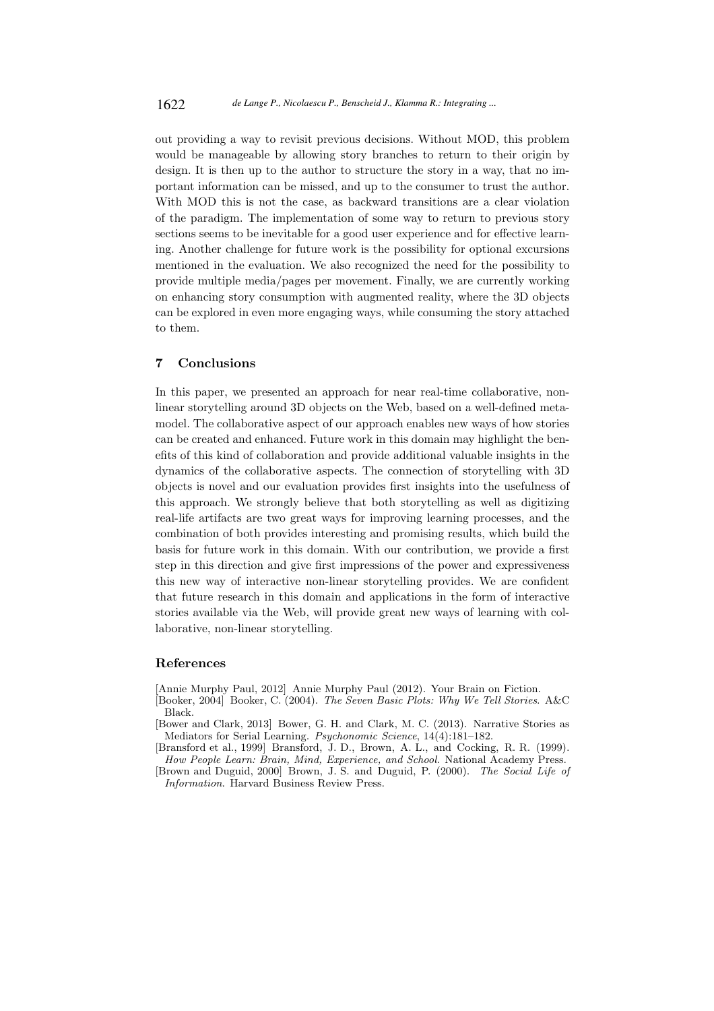out providing a way to revisit previous decisions. Without MOD, this problem would be manageable by allowing story branches to return to their origin by design. It is then up to the author to structure the story in a way, that no important information can be missed, and up to the consumer to trust the author. With MOD this is not the case, as backward transitions are a clear violation of the paradigm. The implementation of some way to return to previous story sections seems to be inevitable for a good user experience and for effective learning. Another challenge for future work is the possibility for optional excursions mentioned in the evaluation. We also recognized the need for the possibility to provide multiple media/pages per movement. Finally, we are currently working on enhancing story consumption with augmented reality, where the 3D objects can be explored in even more engaging ways, while consuming the story attached to them.

# 7 Conclusions

In this paper, we presented an approach for near real-time collaborative, nonlinear storytelling around 3D objects on the Web, based on a well-defined metamodel. The collaborative aspect of our approach enables new ways of how stories can be created and enhanced. Future work in this domain may highlight the benefits of this kind of collaboration and provide additional valuable insights in the dynamics of the collaborative aspects. The connection of storytelling with 3D objects is novel and our evaluation provides first insights into the usefulness of this approach. We strongly believe that both storytelling as well as digitizing real-life artifacts are two great ways for improving learning processes, and the combination of both provides interesting and promising results, which build the basis for future work in this domain. With our contribution, we provide a first step in this direction and give first impressions of the power and expressiveness this new way of interactive non-linear storytelling provides. We are confident that future research in this domain and applications in the form of interactive stories available via the Web, will provide great new ways of learning with collaborative, non-linear storytelling.

### References

[Annie Murphy Paul, 2012] Annie Murphy Paul (2012). Your Brain on Fiction.

- [Booker, 2004] Booker, C. (2004). The Seven Basic Plots: Why We Tell Stories. A&C Black.
- [Bower and Clark, 2013] Bower, G. H. and Clark, M. C. (2013). Narrative Stories as Mediators for Serial Learning. Psychonomic Science, 14(4):181–182.

[Bransford et al., 1999] Bransford, J. D., Brown, A. L., and Cocking, R. R. (1999). How People Learn: Brain, Mind, Experience, and School. National Academy Press.

[Brown and Duguid, 2000] Brown, J. S. and Duguid, P. (2000). The Social Life of Information. Harvard Business Review Press.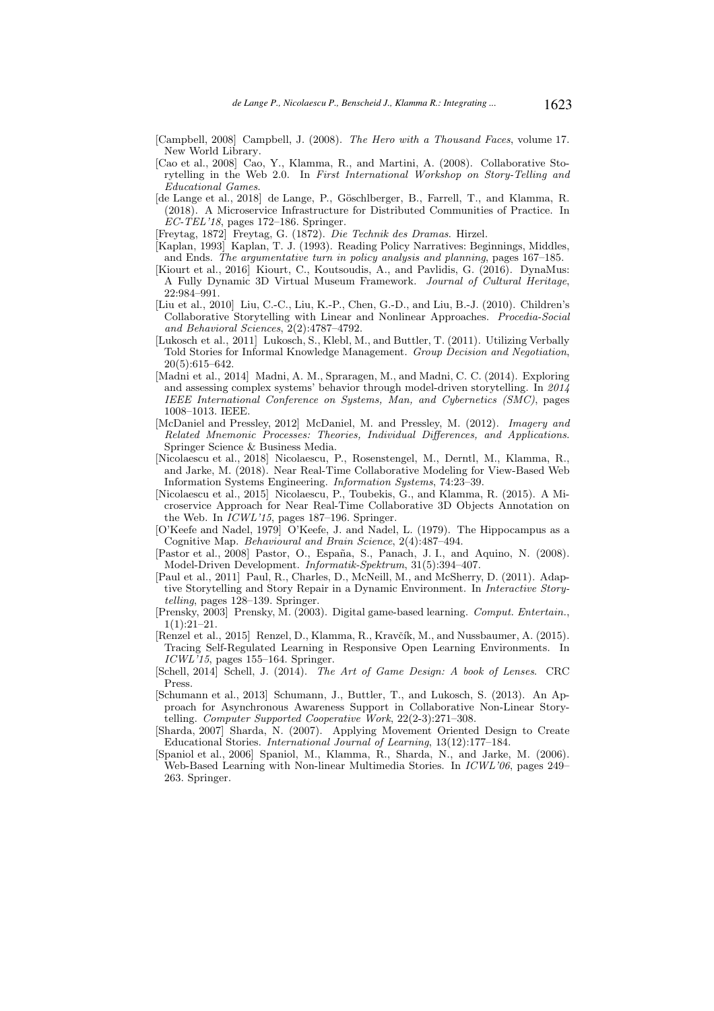- [Campbell, 2008] Campbell, J. (2008). The Hero with a Thousand Faces, volume 17. New World Library.
- [Cao et al., 2008] Cao, Y., Klamma, R., and Martini, A. (2008). Collaborative Storytelling in the Web 2.0. In First International Workshop on Story-Telling and Educational Games.
- [de Lange et al., 2018] de Lange, P., Göschlberger, B., Farrell, T., and Klamma, R. (2018). A Microservice Infrastructure for Distributed Communities of Practice. In  $EC-TEL'18$ , pages 172–186. Springer.
- [Freytag, 1872] Freytag, G. (1872). Die Technik des Dramas. Hirzel.
- [Kaplan, 1993] Kaplan, T. J. (1993). Reading Policy Narratives: Beginnings, Middles, and Ends. The argumentative turn in policy analysis and planning, pages 167–185.
- [Kiourt et al., 2016] Kiourt, C., Koutsoudis, A., and Pavlidis, G. (2016). DynaMus: A Fully Dynamic 3D Virtual Museum Framework. Journal of Cultural Heritage, 22:984–991.
- [Liu et al., 2010] Liu, C.-C., Liu, K.-P., Chen, G.-D., and Liu, B.-J. (2010). Children's Collaborative Storytelling with Linear and Nonlinear Approaches. Procedia-Social and Behavioral Sciences, 2(2):4787–4792.
- [Lukosch et al., 2011] Lukosch, S., Klebl, M., and Buttler, T. (2011). Utilizing Verbally Told Stories for Informal Knowledge Management. Group Decision and Negotiation, 20(5):615–642.
- [Madni et al., 2014] Madni, A. M., Spraragen, M., and Madni, C. C. (2014). Exploring and assessing complex systems' behavior through model-driven storytelling. In  $201\frac{7}{4}$ IEEE International Conference on Systems, Man, and Cybernetics (SMC), pages 1008–1013. IEEE.
- [McDaniel and Pressley, 2012] McDaniel, M. and Pressley, M. (2012). Imagery and Related Mnemonic Processes: Theories, Individual Differences, and Applications. Springer Science & Business Media.
- [Nicolaescu et al., 2018] Nicolaescu, P., Rosenstengel, M., Derntl, M., Klamma, R., and Jarke, M. (2018). Near Real-Time Collaborative Modeling for View-Based Web Information Systems Engineering. Information Systems, 74:23–39.
- [Nicolaescu et al., 2015] Nicolaescu, P., Toubekis, G., and Klamma, R. (2015). A Microservice Approach for Near Real-Time Collaborative 3D Objects Annotation on the Web. In ICWL'15, pages 187–196. Springer.
- [O'Keefe and Nadel, 1979] O'Keefe, J. and Nadel, L. (1979). The Hippocampus as a Cognitive Map. Behavioural and Brain Science, 2(4):487–494.
- [Pastor et al., 2008] Pastor, O., España, S., Panach, J. I., and Aquino, N. (2008). Model-Driven Development. Informatik-Spektrum, 31(5):394–407.
- [Paul et al., 2011] Paul, R., Charles, D., McNeill, M., and McSherry, D. (2011). Adaptive Storytelling and Story Repair in a Dynamic Environment. In Interactive Storytelling, pages 128–139. Springer.
- [Prensky, 2003] Prensky, M. (2003). Digital game-based learning. Comput. Entertain.,  $1(1):21-21.$
- [Renzel et al., 2015] Renzel, D., Klamma, R., Kravčík, M., and Nussbaumer, A. (2015). Tracing Self-Regulated Learning in Responsive Open Learning Environments. In ICWL'15, pages 155–164. Springer.
- [Schell, 2014] Schell, J. (2014). The Art of Game Design: A book of Lenses. CRC Press.
- [Schumann et al., 2013] Schumann, J., Buttler, T., and Lukosch, S. (2013). An Approach for Asynchronous Awareness Support in Collaborative Non-Linear Storytelling. Computer Supported Cooperative Work, 22(2-3):271–308.
- [Sharda, 2007] Sharda, N. (2007). Applying Movement Oriented Design to Create Educational Stories. International Journal of Learning, 13(12):177–184.
- [Spaniol et al., 2006] Spaniol, M., Klamma, R., Sharda, N., and Jarke, M. (2006). Web-Based Learning with Non-linear Multimedia Stories. In ICWL'06, pages 249– 263. Springer.